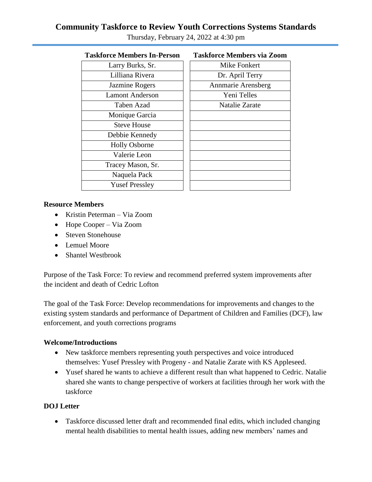# **Community Taskforce to Review Youth Corrections Systems Standards** Thursday, February 24, 2022 at 4:30 pm

| Taskfolce members in-f elson | тамми се іченнегу у   |
|------------------------------|-----------------------|
| Larry Burks, Sr.             | <b>Mike Fonkert</b>   |
| Lilliana Rivera              | Dr. April Terr        |
| Jazmine Rogers               | Annmarie Arensb       |
| <b>Lamont Anderson</b>       | Yeni Telles           |
| Taben Azad                   | <b>Natalie Zarate</b> |
| Monique Garcia               |                       |
| <b>Steve House</b>           |                       |
| Debbie Kennedy               |                       |
| <b>Holly Osborne</b>         |                       |
| Valerie Leon                 |                       |
| Tracey Mason, Sr.            |                       |
| Naquela Pack                 |                       |
| <b>Yusef Pressley</b>        |                       |
|                              |                       |

| <b>Taskforce Members In-Person</b><br><b>Taskforce Members via Zoom</b> |  |
|-------------------------------------------------------------------------|--|

| Larry Burks, Sr.      | Mike Fonkert          |
|-----------------------|-----------------------|
| Lilliana Rivera       | Dr. April Terry       |
| Jazmine Rogers        | Annmarie Arensberg    |
| amont Anderson        | Yeni Telles           |
| Taben Azad            | <b>Natalie Zarate</b> |
| Monique Garcia        |                       |
| <b>Steve House</b>    |                       |
| Debbie Kennedy        |                       |
| <b>Holly Osborne</b>  |                       |
| Valerie Leon          |                       |
| racey Mason, Sr.      |                       |
| Naquela Pack          |                       |
| <b>Yusef Pressley</b> |                       |
|                       |                       |

#### **Resource Members**

- Kristin Peterman Via Zoom
- Hope Cooper Via Zoom
- Steven Stonehouse
- Lemuel Moore
- Shantel Westbrook

Purpose of the Task Force: To review and recommend preferred system improvements after the incident and death of Cedric Lofton

The goal of the Task Force: Develop recommendations for improvements and changes to the existing system standards and performance of Department of Children and Families (DCF), law enforcement, and youth corrections programs

#### **Welcome/Introductions**

- New taskforce members representing youth perspectives and voice introduced themselves: Yusef Pressley with Progeny - and Natalie Zarate with KS Appleseed.
- Yusef shared he wants to achieve a different result than what happened to Cedric. Natalie shared she wants to change perspective of workers at facilities through her work with the taskforce

## **DOJ Letter**

 Taskforce discussed letter draft and recommended final edits, which included changing mental health disabilities to mental health issues, adding new members' names and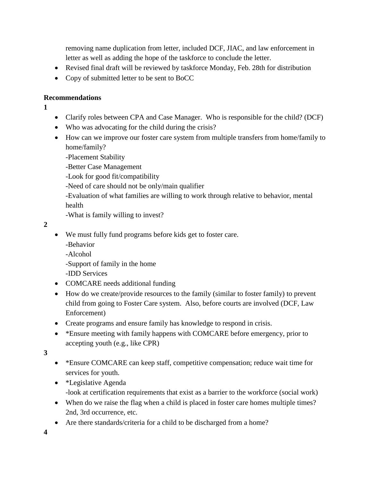removing name duplication from letter, included DCF, JIAC, and law enforcement in letter as well as adding the hope of the taskforce to conclude the letter.

- Revised final draft will be reviewed by taskforce Monday, Feb. 28th for distribution
- Copy of submitted letter to be sent to BoCC

## **Recommendations**

**1**

- Clarify roles between CPA and Case Manager. Who is responsible for the child? (DCF)
- Who was advocating for the child during the crisis?
- How can we improve our foster care system from multiple transfers from home/family to home/family?

-Placement Stability

-Better Case Management

-Look for good fit/compatibility

-Need of care should not be only/main qualifier

-Evaluation of what families are willing to work through relative to behavior, mental health

-What is family willing to invest?

**2**

- We must fully fund programs before kids get to foster care.
	- -Behavior

-Alcohol

-Support of family in the home

-IDD Services

- COMCARE needs additional funding
- How do we create/provide resources to the family (similar to foster family) to prevent child from going to Foster Care system. Also, before courts are involved (DCF, Law Enforcement)
- Create programs and ensure family has knowledge to respond in crisis.
- \*Ensure meeting with family happens with COMCARE before emergency, prior to accepting youth (e.g., like CPR)

**3**

- \*Ensure COMCARE can keep staff, competitive compensation; reduce wait time for services for youth.
- \*Legislative Agenda -look at certification requirements that exist as a barrier to the workforce (social work)
- When do we raise the flag when a child is placed in foster care homes multiple times? 2nd, 3rd occurrence, etc.
- Are there standards/criteria for a child to be discharged from a home?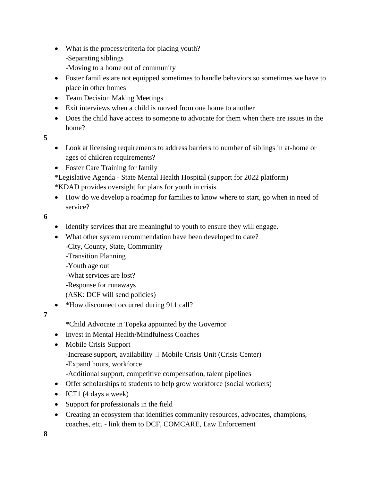- What is the process/criteria for placing youth? -Separating siblings
	- -Moving to a home out of community
- Foster families are not equipped sometimes to handle behaviors so sometimes we have to place in other homes
- Team Decision Making Meetings
- Exit interviews when a child is moved from one home to another
- Does the child have access to someone to advocate for them when there are issues in the home?

**5**

- Look at licensing requirements to address barriers to number of siblings in at-home or ages of children requirements?
- Foster Care Training for family

\*Legislative Agenda - State Mental Health Hospital (support for 2022 platform) \*KDAD provides oversight for plans for youth in crisis.

 How do we develop a roadmap for families to know where to start, go when in need of service?

**6**

- Identify services that are meaningful to youth to ensure they will engage.
- What other system recommendation have been developed to date?
	- -City, County, State, Community
	- -Transition Planning
	- -Youth age out
	- -What services are lost?
	- -Response for runaways
	- (ASK: DCF will send policies)
- \*How disconnect occurred during 911 call?

**7**

\*Child Advocate in Topeka appointed by the Governor

- Invest in Mental Health/Mindfulness Coaches
- Mobile Crisis Support
	- -Increase support, availability  $\Box$  Mobile Crisis Unit (Crisis Center)
	- -Expand hours, workforce
	- -Additional support, competitive compensation, talent pipelines
- Offer scholarships to students to help grow workforce (social workers)
- $\bullet$  ICT1 (4 days a week)
- Support for professionals in the field
- Creating an ecosystem that identifies community resources, advocates, champions, coaches, etc. - link them to DCF, COMCARE, Law Enforcement